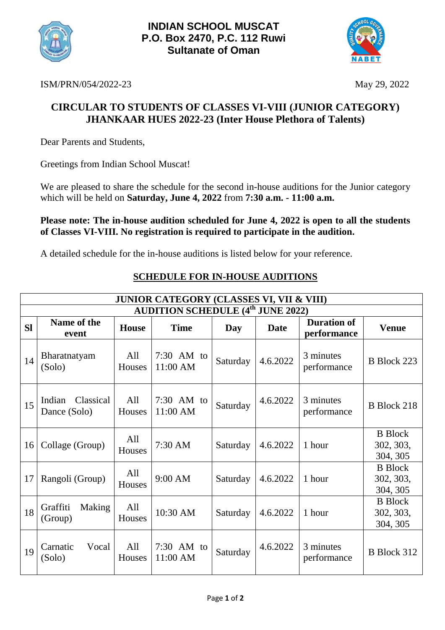



ISM/PRN/054/2022-23 May 29, 2022

## **CIRCULAR TO STUDENTS OF CLASSES VI-VIII (JUNIOR CATEGORY) JHANKAAR HUES 2022-23 (Inter House Plethora of Talents)**

Dear Parents and Students,

Greetings from Indian School Muscat!

We are pleased to share the schedule for the second in-house auditions for the Junior category which will be held on **Saturday, June 4, 2022** from **7:30 a.m. - [11:00](mailto:-11.@00) a.m.**

**Please note: The in-house audition scheduled for June 4, 2022 is open to all the students of Classes VI-VIII. No registration is required to participate in the audition.**

A detailed schedule for the in-house auditions is listed below for your reference.

| <b>JUNIOR CATEGORY (CLASSES VI, VII &amp; VIII)</b> |                                     |               |                        |          |             |                                   |                                         |  |  |  |  |
|-----------------------------------------------------|-------------------------------------|---------------|------------------------|----------|-------------|-----------------------------------|-----------------------------------------|--|--|--|--|
| <b>AUDITION SCHEDULE (4th JUNE 2022)</b>            |                                     |               |                        |          |             |                                   |                                         |  |  |  |  |
| <b>SI</b>                                           | Name of the<br>event                | <b>House</b>  | <b>Time</b>            | Day      | <b>Date</b> | <b>Duration of</b><br>performance | <b>Venue</b>                            |  |  |  |  |
| 14                                                  | Bharatnatyam<br>(Solo)              | All<br>Houses | 7:30 AM to<br>11:00 AM | Saturday | 4.6.2022    | 3 minutes<br>performance          | B Block 223                             |  |  |  |  |
| 15                                                  | Classical<br>Indian<br>Dance (Solo) | All<br>Houses | 7:30 AM to<br>11:00 AM | Saturday | 4.6.2022    | 3 minutes<br>performance          | <b>B</b> Block 218                      |  |  |  |  |
| 16                                                  | Collage (Group)                     | All<br>Houses | 7:30 AM                | Saturday | 4.6.2022    | 1 hour                            | <b>B</b> Block<br>302, 303,<br>304, 305 |  |  |  |  |
| 17                                                  | Rangoli (Group)                     | All<br>Houses | 9:00 AM                | Saturday | 4.6.2022    | 1 hour                            | <b>B</b> Block<br>302, 303,<br>304, 305 |  |  |  |  |
| 18                                                  | Graffiti<br>Making<br>(Group)       | All<br>Houses | 10:30 AM               | Saturday | 4.6.2022    | 1 hour                            | <b>B</b> Block<br>302, 303,<br>304, 305 |  |  |  |  |
| 19                                                  | Carnatic<br>Vocal<br>(Solo)         | All<br>Houses | 7:30 AM to<br>11:00 AM | Saturday | 4.6.2022    | 3 minutes<br>performance          | B Block 312                             |  |  |  |  |

## **SCHEDULE FOR IN-HOUSE AUDITIONS**